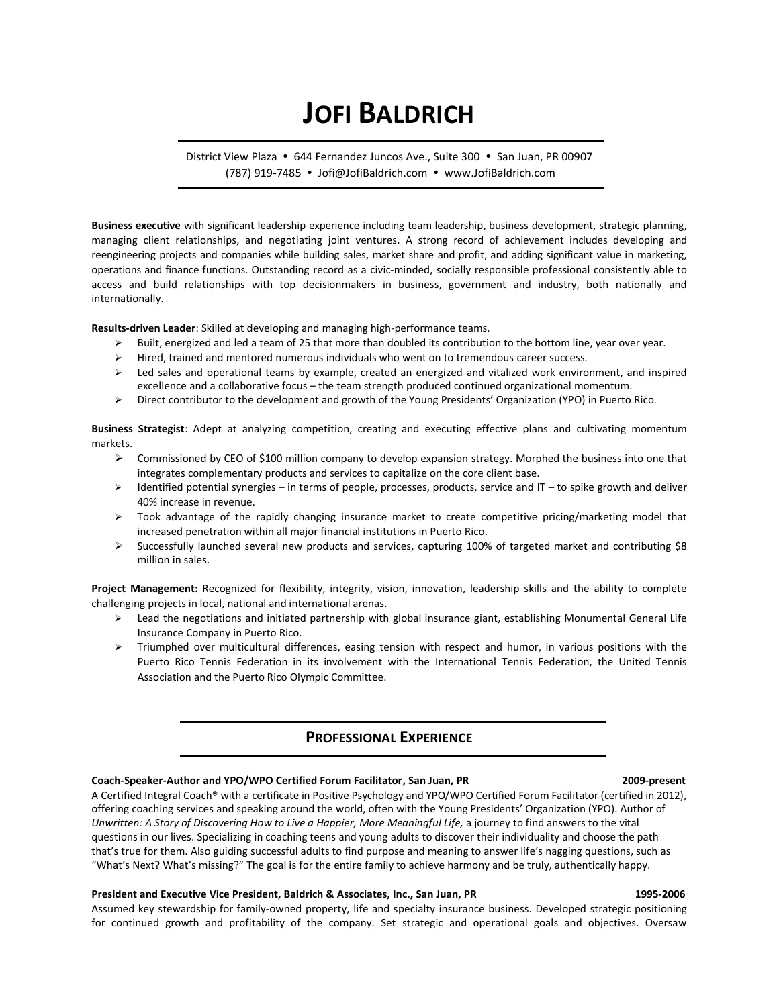# **JOFI BALDRICH**

District View Plaza • 644 Fernandez Juncos Ave., Suite 300 • San Juan, PR 00907 (787) 919-7485 • Jofi@JofiBaldrich.com • www.JofiBaldrich.com

**Business executive** with significant leadership experience including team leadership, business development, strategic planning, managing client relationships, and negotiating joint ventures. A strong record of achievement includes developing and reengineering projects and companies while building sales, market share and profit, and adding significant value in marketing, operations and finance functions. Outstanding record as a civic-minded, socially responsible professional consistently able to access and build relationships with top decisionmakers in business, government and industry, both nationally and internationally.

**Results-driven Leader**: Skilled at developing and managing high-performance teams.

- $\triangleright$  Built, energized and led a team of 25 that more than doubled its contribution to the bottom line, year over year.
- $\triangleright$  Hired, trained and mentored numerous individuals who went on to tremendous career success.
- $\triangleright$  Led sales and operational teams by example, created an energized and vitalized work environment, and inspired excellence and a collaborative focus – the team strength produced continued organizational momentum.
- ÿ Direct contributor to the development and growth of the Young Presidents' Organization (YPO) in Puerto Rico.

**Business Strategist**: Adept at analyzing competition, creating and executing effective plans and cultivating momentum markets.

- $\triangleright$  Commissioned by CEO of \$100 million company to develop expansion strategy. Morphed the business into one that integrates complementary products and services to capitalize on the core client base.
- $\triangleright$  Identified potential synergies in terms of people, processes, products, service and IT to spike growth and deliver 40% increase in revenue.
- $\triangleright$  Took advantage of the rapidly changing insurance market to create competitive pricing/marketing model that increased penetration within all major financial institutions in Puerto Rico.
- $\triangleright$  Successfully launched several new products and services, capturing 100% of targeted market and contributing \$8 million in sales.

**Project Management:** Recognized for flexibility, integrity, vision, innovation, leadership skills and the ability to complete challenging projects in local, national and international arenas.

- $\triangleright$  Lead the negotiations and initiated partnership with global insurance giant, establishing Monumental General Life Insurance Company in Puerto Rico.
- $\triangleright$  Triumphed over multicultural differences, easing tension with respect and humor, in various positions with the Puerto Rico Tennis Federation in its involvement with the International Tennis Federation, the United Tennis Association and the Puerto Rico Olympic Committee.

## **PROFESSIONAL EXPERIENCE**

#### **Coach-Speaker-Author and YPO/WPO Certified Forum Facilitator, San Juan, PR 2009-present**

A Certified Integral Coach® with a certificate in Positive Psychology and YPO/WPO Certified Forum Facilitator (certified in 2012), offering coaching services and speaking around the world, often with the Young Presidents' Organization (YPO). Author of *Unwritten: A Story of Discovering How to Live a Happier, More Meaningful Life,* a journey to find answers to the vital questions in our lives. Specializing in coaching teens and young adults to discover their individuality and choose the path that's true for them. Also guiding successful adults to find purpose and meaning to answer life's nagging questions, such as "What's Next? What's missing?" The goal is for the entire family to achieve harmony and be truly, authentically happy.

### **President and Executive Vice President, Baldrich & Associates, Inc., San Juan, PR 1995-2006**

Assumed key stewardship for family-owned property, life and specialty insurance business. Developed strategic positioning for continued growth and profitability of the company. Set strategic and operational goals and objectives. Oversaw